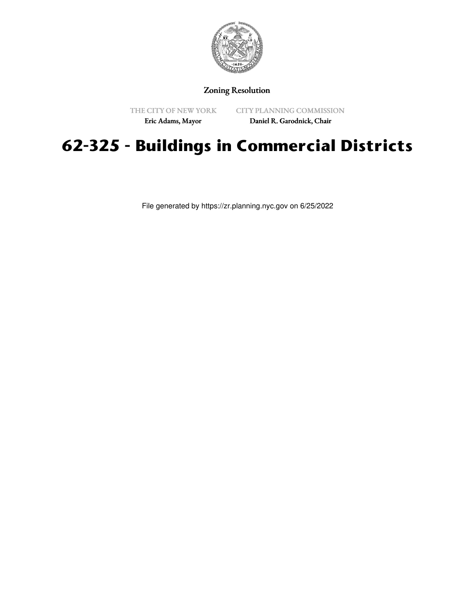

## Zoning Resolution

THE CITY OF NEW YORK

CITY PLANNING COMMISSION Daniel R. Garodnick, Chair

Eric Adams, Mayor

## **62-325 - Buildings in Commercial Districts**

File generated by https://zr.planning.nyc.gov on 6/25/2022